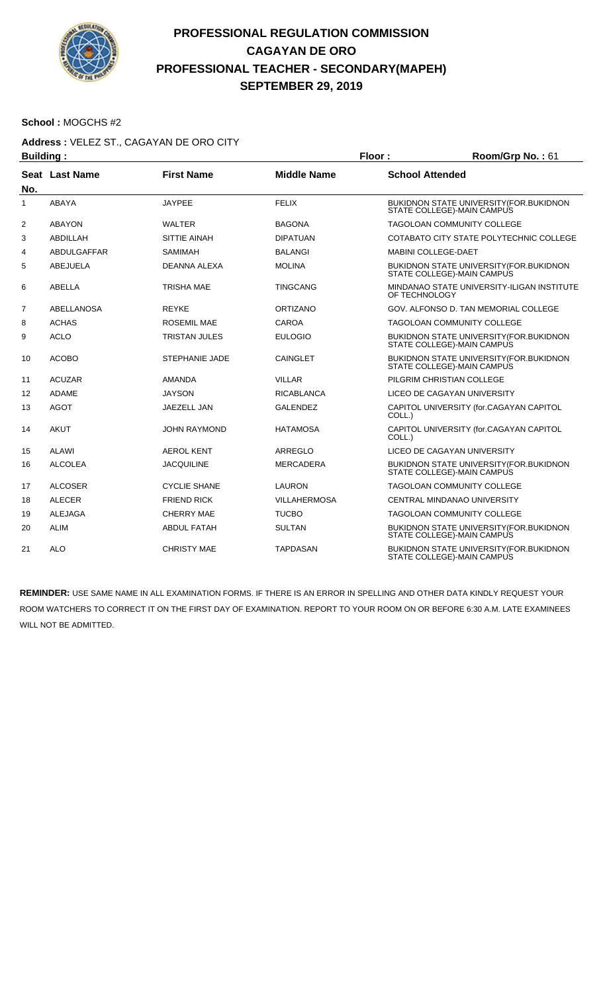

#### **School :** MOGCHS #2

#### **Address :** VELEZ ST., CAGAYAN DE ORO CITY

| <b>Building:</b> |                 |                       |                     | Floor:                     | Room/Grp No.: 61                                                               |  |
|------------------|-----------------|-----------------------|---------------------|----------------------------|--------------------------------------------------------------------------------|--|
| No.              | Seat Last Name  | <b>First Name</b>     | <b>Middle Name</b>  | <b>School Attended</b>     |                                                                                |  |
| $\mathbf{1}$     | <b>ABAYA</b>    | <b>JAYPEE</b>         | <b>FELIX</b>        |                            | <b>BUKIDNON STATE UNIVERSITY (FOR.BUKIDNON</b><br>STATE COLLEGE)-MAIN CAMPUS   |  |
| 2                | <b>ABAYON</b>   | <b>WALTER</b>         | <b>BAGONA</b>       |                            | <b>TAGOLOAN COMMUNITY COLLEGE</b>                                              |  |
| 3                | ABDILLAH        | SITTIE AINAH          | <b>DIPATUAN</b>     |                            | COTABATO CITY STATE POLYTECHNIC COLLEGE                                        |  |
| 4                | ABDULGAFFAR     | <b>SAMIMAH</b>        | <b>BALANGI</b>      | <b>MABINI COLLEGE-DAET</b> |                                                                                |  |
| 5                | <b>ABEJUELA</b> | <b>DEANNA ALEXA</b>   | <b>MOLINA</b>       |                            | <b>BUKIDNON STATE UNIVERSITY (FOR. BUKIDNON)</b><br>STATE COLLEGE)-MAIN CAMPUS |  |
| 6                | <b>ABELLA</b>   | <b>TRISHA MAE</b>     | <b>TINGCANG</b>     | OF TECHNOLOGY              | MINDANAO STATE UNIVERSITY-ILIGAN INSTITUTE                                     |  |
| 7                | ABELLANOSA      | <b>REYKE</b>          | <b>ORTIZANO</b>     |                            | GOV. ALFONSO D. TAN MEMORIAL COLLEGE                                           |  |
| 8                | <b>ACHAS</b>    | <b>ROSEMIL MAE</b>    | <b>CAROA</b>        |                            | TAGOLOAN COMMUNITY COLLEGE                                                     |  |
| 9                | <b>ACLO</b>     | <b>TRISTAN JULES</b>  | <b>EULOGIO</b>      |                            | BUKIDNON STATE UNIVERSITY (FOR. BUKIDNON<br>STATE COLLEGE)-MAIN CAMPUS         |  |
| 10               | <b>ACOBO</b>    | <b>STEPHANIE JADE</b> | <b>CAINGLET</b>     |                            | <b>BUKIDNON STATE UNIVERSITY (FOR. BUKIDNON)</b><br>STATE COLLEGE)-MAIN CAMPUS |  |
| 11               | <b>ACUZAR</b>   | <b>AMANDA</b>         | <b>VILLAR</b>       |                            | PILGRIM CHRISTIAN COLLEGE                                                      |  |
| 12               | <b>ADAME</b>    | <b>JAYSON</b>         | <b>RICABLANCA</b>   |                            | LICEO DE CAGAYAN UNIVERSITY                                                    |  |
| 13               | <b>AGOT</b>     | JAEZELL JAN           | <b>GALENDEZ</b>     | COLL.)                     | CAPITOL UNIVERSITY (for.CAGAYAN CAPITOL                                        |  |
| 14               | <b>AKUT</b>     | <b>JOHN RAYMOND</b>   | <b>HATAMOSA</b>     | COLL.)                     | CAPITOL UNIVERSITY (for.CAGAYAN CAPITOL                                        |  |
| 15               | <b>ALAWI</b>    | <b>AEROL KENT</b>     | ARREGLO             |                            | LICEO DE CAGAYAN UNIVERSITY                                                    |  |
| 16               | <b>ALCOLEA</b>  | <b>JACQUILINE</b>     | <b>MERCADERA</b>    |                            | BUKIDNON STATE UNIVERSITY (FOR. BUKIDNON<br>STATE COLLEGE)-MAIN CAMPUS         |  |
| 17               | <b>ALCOSER</b>  | <b>CYCLIE SHANE</b>   | LAURON              |                            | <b>TAGOLOAN COMMUNITY COLLEGE</b>                                              |  |
| 18               | <b>ALECER</b>   | <b>FRIEND RICK</b>    | <b>VILLAHERMOSA</b> |                            | CENTRAL MINDANAO UNIVERSITY                                                    |  |
| 19               | <b>ALEJAGA</b>  | <b>CHERRY MAE</b>     | <b>TUCBO</b>        |                            | TAGOLOAN COMMUNITY COLLEGE                                                     |  |
| 20               | <b>ALIM</b>     | <b>ABDUL FATAH</b>    | <b>SULTAN</b>       |                            | BUKIDNON STATE UNIVERSITY (FOR. BUKIDNON<br>STATE COLLEGE)-MAIN CAMPUS         |  |
| 21               | <b>ALO</b>      | <b>CHRISTY MAE</b>    | <b>TAPDASAN</b>     |                            | BUKIDNON STATE UNIVERSITY (FOR. BUKIDNON<br>STATE COLLEGE)-MAIN CAMPUS         |  |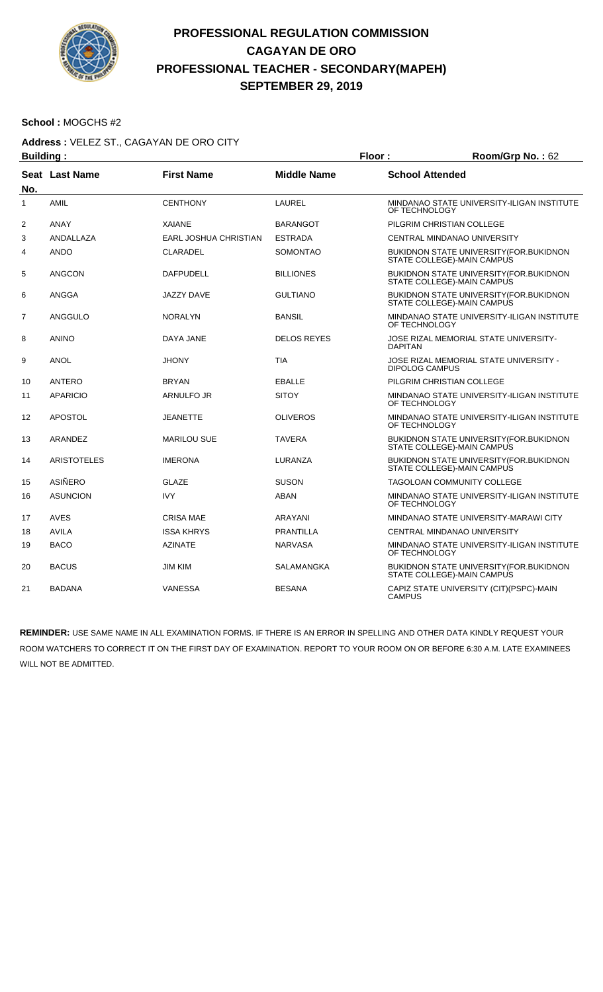

#### **School :** MOGCHS #2

#### **Address :** VELEZ ST., CAGAYAN DE ORO CITY

| <b>Building:</b> |                    |                       | Floor:             | Room/Grp No.: 62                                                               |
|------------------|--------------------|-----------------------|--------------------|--------------------------------------------------------------------------------|
| No.              | Seat Last Name     | <b>First Name</b>     | <b>Middle Name</b> | <b>School Attended</b>                                                         |
| $\mathbf{1}$     | <b>AMIL</b>        | <b>CENTHONY</b>       | LAUREL             | MINDANAO STATE UNIVERSITY-ILIGAN INSTITUTE<br>OF TECHNOLOGY                    |
| 2                | <b>ANAY</b>        | <b>XAIANE</b>         | <b>BARANGOT</b>    | PILGRIM CHRISTIAN COLLEGE                                                      |
| 3                | ANDALLAZA          | EARL JOSHUA CHRISTIAN | <b>ESTRADA</b>     | CENTRAL MINDANAO UNIVERSITY                                                    |
| 4                | <b>ANDO</b>        | <b>CLARADEL</b>       | <b>SOMONTAO</b>    | BUKIDNON STATE UNIVERSITY(FOR.BUKIDNON<br>STATE COLLEGE)-MAIN CAMPUS           |
| 5                | <b>ANGCON</b>      | <b>DAFPUDELL</b>      | <b>BILLIONES</b>   | <b>BUKIDNON STATE UNIVERSITY (FOR. BUKIDNON)</b><br>STATE COLLEGE)-MAIN CAMPUS |
| 6                | ANGGA              | JAZZY DAVE            | <b>GULTIANO</b>    | <b>BUKIDNON STATE UNIVERSITY (FOR. BUKIDNON)</b><br>STATE COLLEGE)-MAIN CAMPUS |
| $\overline{7}$   | ANGGULO            | <b>NORALYN</b>        | <b>BANSIL</b>      | MINDANAO STATE UNIVERSITY-ILIGAN INSTITUTE<br>OF TECHNOLOGY                    |
| 8                | <b>ANINO</b>       | DAYA JANE             | <b>DELOS REYES</b> | JOSE RIZAL MEMORIAL STATE UNIVERSITY-<br><b>DAPITAN</b>                        |
| 9                | <b>ANOL</b>        | <b>JHONY</b>          | <b>TIA</b>         | JOSE RIZAL MEMORIAL STATE UNIVERSITY -<br><b>DIPOLOG CAMPUS</b>                |
| 10               | ANTERO             | <b>BRYAN</b>          | <b>EBALLE</b>      | PILGRIM CHRISTIAN COLLEGE                                                      |
| 11               | <b>APARICIO</b>    | ARNULFO JR            | <b>SITOY</b>       | MINDANAO STATE UNIVERSITY-ILIGAN INSTITUTE<br>OF TECHNOLOGY                    |
| 12               | <b>APOSTOL</b>     | <b>JEANETTE</b>       | <b>OLIVEROS</b>    | MINDANAO STATE UNIVERSITY-ILIGAN INSTITUTE<br>OF TECHNOLOGY                    |
| 13               | ARANDEZ            | <b>MARILOU SUE</b>    | <b>TAVERA</b>      | BUKIDNON STATE UNIVERSITY (FOR. BUKIDNON<br>STATE COLLEGE)-MAIN CAMPUS         |
| 14               | <b>ARISTOTELES</b> | <b>IMERONA</b>        | LURANZA            | <b>BUKIDNON STATE UNIVERSITY (FOR. BUKIDNON)</b><br>STATE COLLEGE)-MAIN CAMPUS |
| 15               | ASIÑERO            | GLAZE                 | <b>SUSON</b>       | <b>TAGOLOAN COMMUNITY COLLEGE</b>                                              |
| 16               | <b>ASUNCION</b>    | <b>IVY</b>            | <b>ABAN</b>        | MINDANAO STATE UNIVERSITY-ILIGAN INSTITUTE<br>OF TECHNOLOGY                    |
| 17               | AVES               | <b>CRISA MAE</b>      | ARAYANI            | MINDANAO STATE UNIVERSITY-MARAWI CITY                                          |
| 18               | <b>AVILA</b>       | <b>ISSA KHRYS</b>     | <b>PRANTILLA</b>   | CENTRAL MINDANAO UNIVERSITY                                                    |
| 19               | <b>BACO</b>        | <b>AZINATE</b>        | <b>NARVASA</b>     | MINDANAO STATE UNIVERSITY-ILIGAN INSTITUTE<br>OF TECHNOLOGY                    |
| 20               | <b>BACUS</b>       | <b>JIM KIM</b>        | SALAMANGKA         | BUKIDNON STATE UNIVERSITY (FOR. BUKIDNON<br>STATE COLLEGE)-MAIN CAMPUS         |
| 21               | <b>BADANA</b>      | VANESSA               | <b>BESANA</b>      | CAPIZ STATE UNIVERSITY (CIT)(PSPC)-MAIN<br><b>CAMPUS</b>                       |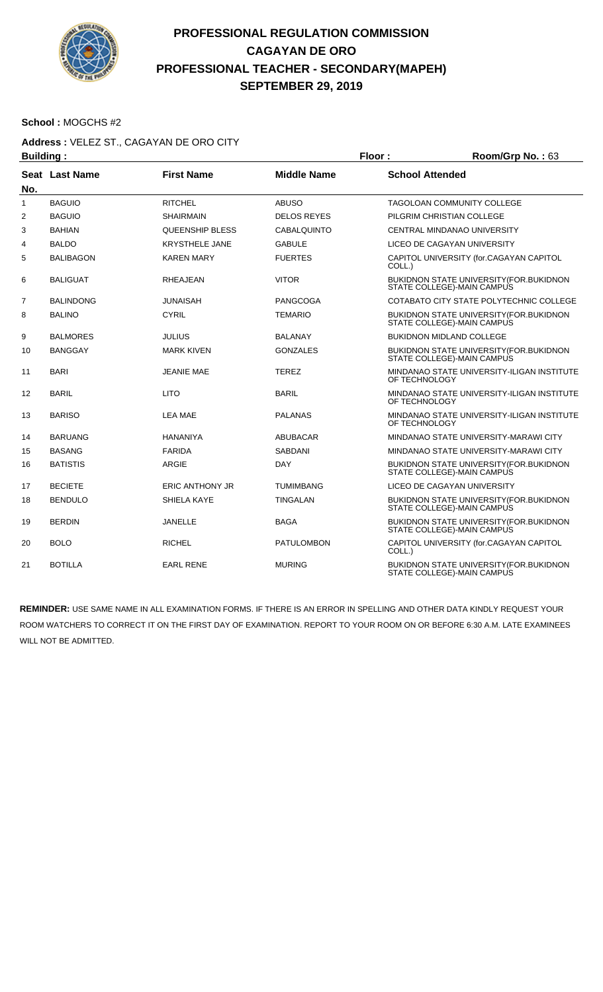

#### **School :** MOGCHS #2

#### **Address :** VELEZ ST., CAGAYAN DE ORO CITY

| <b>Building:</b> |                  |                        | Floor:<br>Room/Grp No.: 63 |                        |                                                                        |
|------------------|------------------|------------------------|----------------------------|------------------------|------------------------------------------------------------------------|
| No.              | Seat Last Name   | <b>First Name</b>      | <b>Middle Name</b>         | <b>School Attended</b> |                                                                        |
| $\mathbf{1}$     | <b>BAGUIO</b>    | <b>RITCHEL</b>         | <b>ABUSO</b>               |                        | <b>TAGOLOAN COMMUNITY COLLEGE</b>                                      |
| 2                | <b>BAGUIO</b>    | <b>SHAIRMAIN</b>       | <b>DELOS REYES</b>         |                        | PILGRIM CHRISTIAN COLLEGE                                              |
| 3                | <b>BAHIAN</b>    | <b>QUEENSHIP BLESS</b> | <b>CABALQUINTO</b>         |                        | CENTRAL MINDANAO UNIVERSITY                                            |
| 4                | <b>BALDO</b>     | <b>KRYSTHELE JANE</b>  | <b>GABULE</b>              |                        | LICEO DE CAGAYAN UNIVERSITY                                            |
| 5                | <b>BALIBAGON</b> | <b>KAREN MARY</b>      | <b>FUERTES</b>             | COLL.)                 | CAPITOL UNIVERSITY (for.CAGAYAN CAPITOL                                |
| 6                | <b>BALIGUAT</b>  | <b>RHEAJEAN</b>        | <b>VITOR</b>               |                        | BUKIDNON STATE UNIVERSITY (FOR. BUKIDNON<br>STATE COLLEGE)-MAIN CAMPUS |
| $\overline{7}$   | <b>BALINDONG</b> | JUNAISAH               | <b>PANGCOGA</b>            |                        | COTABATO CITY STATE POLYTECHNIC COLLEGE                                |
| 8                | <b>BALINO</b>    | <b>CYRIL</b>           | <b>TEMARIO</b>             |                        | BUKIDNON STATE UNIVERSITY (FOR BUKIDNON<br>STATE COLLEGE)-MAIN CAMPUS  |
| 9                | <b>BALMORES</b>  | <b>JULIUS</b>          | <b>BALANAY</b>             |                        | <b>BUKIDNON MIDLAND COLLEGE</b>                                        |
| 10               | <b>BANGGAY</b>   | <b>MARK KIVEN</b>      | <b>GONZALES</b>            |                        | BUKIDNON STATE UNIVERSITY (FOR. BUKIDNON<br>STATE COLLEGE)-MAIN CAMPUS |
| 11               | <b>BARI</b>      | <b>JEANIE MAE</b>      | <b>TEREZ</b>               | OF TECHNOLOGY          | MINDANAO STATE UNIVERSITY-ILIGAN INSTITUTE                             |
| 12               | <b>BARIL</b>     | <b>LITO</b>            | <b>BARIL</b>               | OF TECHNOLOGY          | MINDANAO STATE UNIVERSITY-ILIGAN INSTITUTE                             |
| 13               | <b>BARISO</b>    | <b>LEA MAE</b>         | <b>PALANAS</b>             | OF TECHNOLOGY          | MINDANAO STATE UNIVERSITY-ILIGAN INSTITUTE                             |
| 14               | <b>BARUANG</b>   | <b>HANANIYA</b>        | <b>ABUBACAR</b>            |                        | MINDANAO STATE UNIVERSITY-MARAWI CITY                                  |
| 15               | <b>BASANG</b>    | <b>FARIDA</b>          | <b>SABDANI</b>             |                        | MINDANAO STATE UNIVERSITY-MARAWI CITY                                  |
| 16               | <b>BATISTIS</b>  | ARGIE                  | <b>DAY</b>                 |                        | BUKIDNON STATE UNIVERSITY (FOR.BUKIDNON<br>STATE COLLEGE)-MAIN CAMPUS  |
| 17               | <b>BECIETE</b>   | <b>ERIC ANTHONY JR</b> | <b>TUMIMBANG</b>           |                        | LICEO DE CAGAYAN UNIVERSITY                                            |
| 18               | <b>BENDULO</b>   | SHIELA KAYE            | <b>TINGALAN</b>            |                        | BUKIDNON STATE UNIVERSITY (FOR. BUKIDNON<br>STATE COLLEGE)-MAIN CAMPUS |
| 19               | <b>BERDIN</b>    | <b>JANELLE</b>         | <b>BAGA</b>                |                        | BUKIDNON STATE UNIVERSITY (FOR. BUKIDNON<br>STATE COLLEGE)-MAIN CAMPUS |
| 20               | <b>BOLO</b>      | <b>RICHEL</b>          | <b>PATULOMBON</b>          | COLL.)                 | CAPITOL UNIVERSITY (for.CAGAYAN CAPITOL                                |
| 21               | <b>BOTILLA</b>   | <b>EARL RENE</b>       | <b>MURING</b>              |                        | BUKIDNON STATE UNIVERSITY (FOR. BUKIDNON<br>STATE COLLEGE)-MAIN CAMPUS |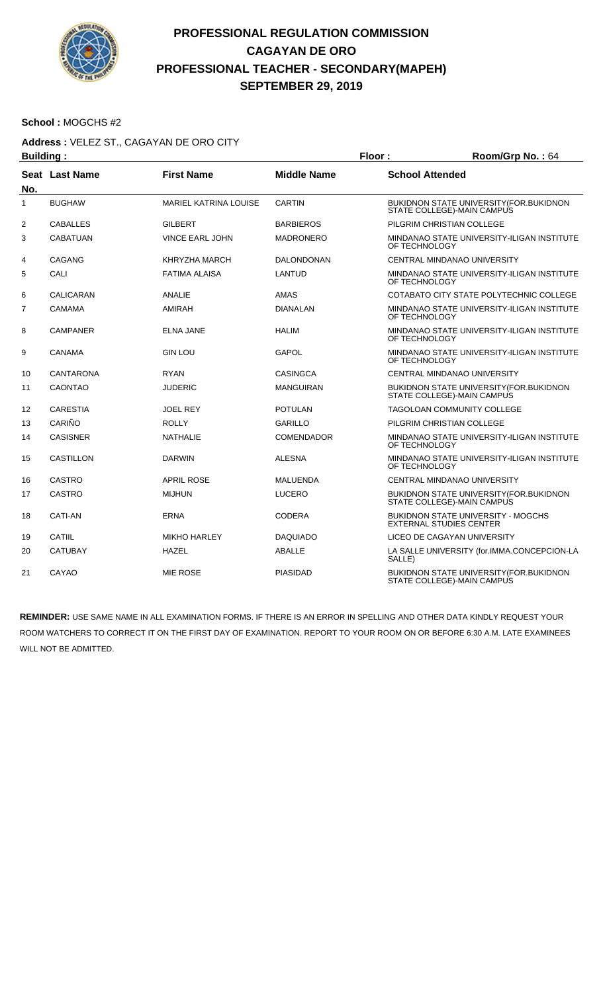

#### **School :** MOGCHS #2

#### **Address :** VELEZ ST., CAGAYAN DE ORO CITY

| <b>Building:</b> |                  |                              |                    | Floor:<br>Room/Grp No.: 64     |                                             |
|------------------|------------------|------------------------------|--------------------|--------------------------------|---------------------------------------------|
| No.              | Seat Last Name   | <b>First Name</b>            | <b>Middle Name</b> | <b>School Attended</b>         |                                             |
| $\mathbf{1}$     | <b>BUGHAW</b>    | <b>MARIEL KATRINA LOUISE</b> | <b>CARTIN</b>      | STATE COLLEGE)-MAIN CAMPUS     | BUKIDNON STATE UNIVERSITY (FOR.BUKIDNON     |
| 2                | <b>CABALLES</b>  | <b>GILBERT</b>               | <b>BARBIEROS</b>   | PILGRIM CHRISTIAN COLLEGE      |                                             |
| 3                | <b>CABATUAN</b>  | <b>VINCE EARL JOHN</b>       | <b>MADRONERO</b>   | OF TECHNOLOGY                  | MINDANAO STATE UNIVERSITY-ILIGAN INSTITUTE  |
| 4                | CAGANG           | KHRYZHA MARCH                | <b>DALONDONAN</b>  | CENTRAL MINDANAO UNIVERSITY    |                                             |
| 5                | CALI             | <b>FATIMA ALAISA</b>         | LANTUD             | OF TECHNOLOGY                  | MINDANAO STATE UNIVERSITY-ILIGAN INSTITUTE  |
| 6                | <b>CALICARAN</b> | <b>ANALIE</b>                | AMAS               |                                | COTABATO CITY STATE POLYTECHNIC COLLEGE     |
| $\overline{7}$   | <b>CAMAMA</b>    | AMIRAH                       | <b>DIANALAN</b>    | OF TECHNOLOGY                  | MINDANAO STATE UNIVERSITY-ILIGAN INSTITUTE  |
| 8                | <b>CAMPANER</b>  | <b>ELNA JANE</b>             | <b>HALIM</b>       | OF TECHNOLOGY                  | MINDANAO STATE UNIVERSITY-ILIGAN INSTITUTE  |
| 9                | CANAMA           | <b>GIN LOU</b>               | <b>GAPOL</b>       | OF TECHNOLOGY                  | MINDANAO STATE UNIVERSITY-ILIGAN INSTITUTE  |
| 10               | <b>CANTARONA</b> | <b>RYAN</b>                  | <b>CASINGCA</b>    | CENTRAL MINDANAO UNIVERSITY    |                                             |
| 11               | <b>CAONTAO</b>   | <b>JUDERIC</b>               | <b>MANGUIRAN</b>   | STATE COLLEGE)-MAIN CAMPUS     | BUKIDNON STATE UNIVERSITY (FOR. BUKIDNON    |
| 12               | <b>CARESTIA</b>  | <b>JOEL REY</b>              | <b>POTULAN</b>     | TAGOLOAN COMMUNITY COLLEGE     |                                             |
| 13               | CARIÑO           | <b>ROLLY</b>                 | <b>GARILLO</b>     | PILGRIM CHRISTIAN COLLEGE      |                                             |
| 14               | <b>CASISNER</b>  | <b>NATHALIE</b>              | <b>COMENDADOR</b>  | OF TECHNOLOGY                  | MINDANAO STATE UNIVERSITY-ILIGAN INSTITUTE  |
| 15               | <b>CASTILLON</b> | <b>DARWIN</b>                | <b>ALESNA</b>      | OF TECHNOLOGY                  | MINDANAO STATE UNIVERSITY-ILIGAN INSTITUTE  |
| 16               | <b>CASTRO</b>    | <b>APRIL ROSE</b>            | MALUENDA           | CENTRAL MINDANAO UNIVERSITY    |                                             |
| 17               | <b>CASTRO</b>    | <b>MIJHUN</b>                | <b>LUCERO</b>      | STATE COLLEGE)-MAIN CAMPUS     | BUKIDNON STATE UNIVERSITY (FOR. BUKIDNON    |
| 18               | <b>CATI-AN</b>   | <b>ERNA</b>                  | <b>CODERA</b>      | <b>EXTERNAL STUDIES CENTER</b> | <b>BUKIDNON STATE UNIVERSITY - MOGCHS</b>   |
| 19               | CATIIL           | <b>MIKHO HARLEY</b>          | <b>DAQUIADO</b>    | LICEO DE CAGAYAN UNIVERSITY    |                                             |
| 20               | <b>CATUBAY</b>   | <b>HAZEL</b>                 | <b>ABALLE</b>      | SALLE)                         | LA SALLE UNIVERSITY (for.IMMA.CONCEPCION-LA |
| 21               | CAYAO            | <b>MIE ROSE</b>              | <b>PIASIDAD</b>    | STATE COLLEGE)-MAIN CAMPUS     | BUKIDNON STATE UNIVERSITY (FOR. BUKIDNON    |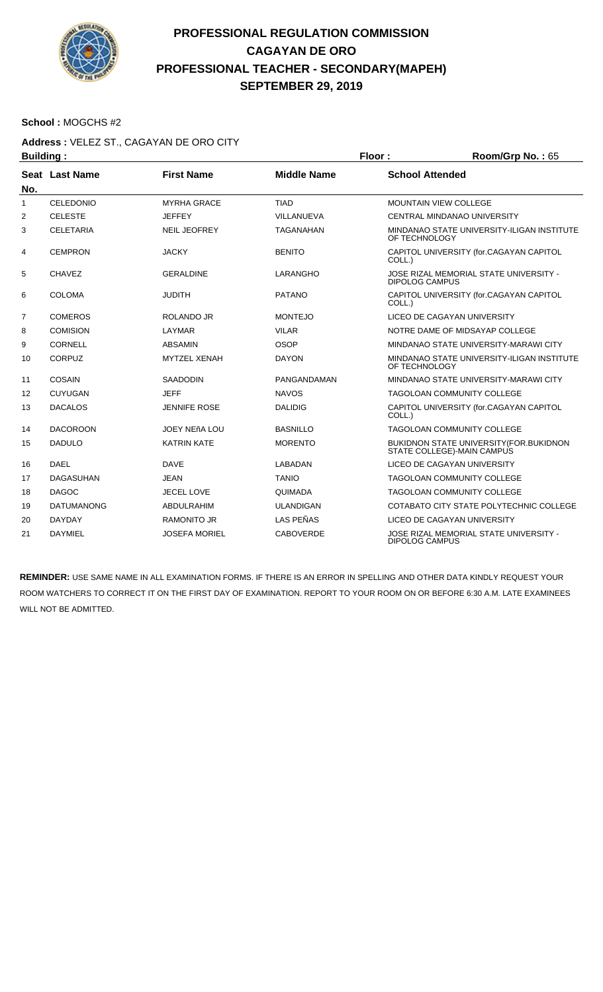

#### **School :** MOGCHS #2

### **Address :** VELEZ ST., CAGAYAN DE ORO CITY

| <b>Building:</b> |                   |                      |                    | Floor:                       | Room/Grp No.: 65                                                             |
|------------------|-------------------|----------------------|--------------------|------------------------------|------------------------------------------------------------------------------|
|                  | Seat Last Name    | <b>First Name</b>    | <b>Middle Name</b> | <b>School Attended</b>       |                                                                              |
| No.              |                   |                      |                    |                              |                                                                              |
| $\mathbf{1}$     | <b>CELEDONIO</b>  | <b>MYRHA GRACE</b>   | <b>TIAD</b>        | <b>MOUNTAIN VIEW COLLEGE</b> |                                                                              |
| 2                | <b>CELESTE</b>    | <b>JEFFEY</b>        | VILLANUEVA         |                              | CENTRAL MINDANAO UNIVERSITY                                                  |
| 3                | <b>CELETARIA</b>  | <b>NEIL JEOFREY</b>  | <b>TAGANAHAN</b>   | OF TECHNOLOGY                | MINDANAO STATE UNIVERSITY-ILIGAN INSTITUTE                                   |
| 4                | <b>CEMPRON</b>    | <b>JACKY</b>         | <b>BENITO</b>      | COLL.)                       | CAPITOL UNIVERSITY (for.CAGAYAN CAPITOL                                      |
| 5                | <b>CHAVEZ</b>     | <b>GERALDINE</b>     | <b>LARANGHO</b>    | <b>DIPOLOG CAMPUS</b>        | JOSE RIZAL MEMORIAL STATE UNIVERSITY -                                       |
| 6                | <b>COLOMA</b>     | <b>JUDITH</b>        | <b>PATANO</b>      | COLL.)                       | CAPITOL UNIVERSITY (for.CAGAYAN CAPITOL                                      |
| $\overline{7}$   | <b>COMEROS</b>    | ROLANDO JR           | <b>MONTEJO</b>     |                              | LICEO DE CAGAYAN UNIVERSITY                                                  |
| 8                | <b>COMISION</b>   | LAYMAR               | <b>VILAR</b>       |                              | NOTRE DAME OF MIDSAYAP COLLEGE                                               |
| 9                | CORNELL           | <b>ABSAMIN</b>       | OSOP               |                              | MINDANAO STATE UNIVERSITY-MARAWI CITY                                        |
| 10               | <b>CORPUZ</b>     | <b>MYTZEL XENAH</b>  | <b>DAYON</b>       | OF TECHNOLOGY                | MINDANAO STATE UNIVERSITY-ILIGAN INSTITUTE                                   |
| 11               | <b>COSAIN</b>     | <b>SAADODIN</b>      | PANGANDAMAN        |                              | MINDANAO STATE UNIVERSITY-MARAWI CITY                                        |
| 12               | <b>CUYUGAN</b>    | <b>JEFF</b>          | <b>NAVOS</b>       |                              | <b>TAGOLOAN COMMUNITY COLLEGE</b>                                            |
| 13               | <b>DACALOS</b>    | <b>JENNIFE ROSE</b>  | <b>DALIDIG</b>     | COLL.)                       | CAPITOL UNIVERSITY (for.CAGAYAN CAPITOL                                      |
| 14               | <b>DACOROON</b>   | JOEY NEñA LOU        | <b>BASNILLO</b>    |                              | TAGOLOAN COMMUNITY COLLEGE                                                   |
| 15               | <b>DADULO</b>     | <b>KATRIN KATE</b>   | <b>MORENTO</b>     |                              | <b>BUKIDNON STATE UNIVERSITY (FOR.BUKIDNON</b><br>STATE COLLEGE)-MAIN CAMPUS |
| 16               | <b>DAEL</b>       | <b>DAVE</b>          | LABADAN            |                              | LICEO DE CAGAYAN UNIVERSITY                                                  |
| 17               | <b>DAGASUHAN</b>  | <b>JEAN</b>          | <b>TANIO</b>       |                              | <b>TAGOLOAN COMMUNITY COLLEGE</b>                                            |
| 18               | <b>DAGOC</b>      | <b>JECEL LOVE</b>    | <b>QUIMADA</b>     |                              | <b>TAGOLOAN COMMUNITY COLLEGE</b>                                            |
| 19               | <b>DATUMANONG</b> | <b>ABDULRAHIM</b>    | <b>ULANDIGAN</b>   |                              | COTABATO CITY STATE POLYTECHNIC COLLEGE                                      |
| 20               | <b>DAYDAY</b>     | <b>RAMONITO JR</b>   | LAS PEÑAS          |                              | LICEO DE CAGAYAN UNIVERSITY                                                  |
| 21               | <b>DAYMIEL</b>    | <b>JOSEFA MORIEL</b> | <b>CABOVERDE</b>   | <b>DIPOLOG CAMPUS</b>        | JOSE RIZAL MEMORIAL STATE UNIVERSITY -                                       |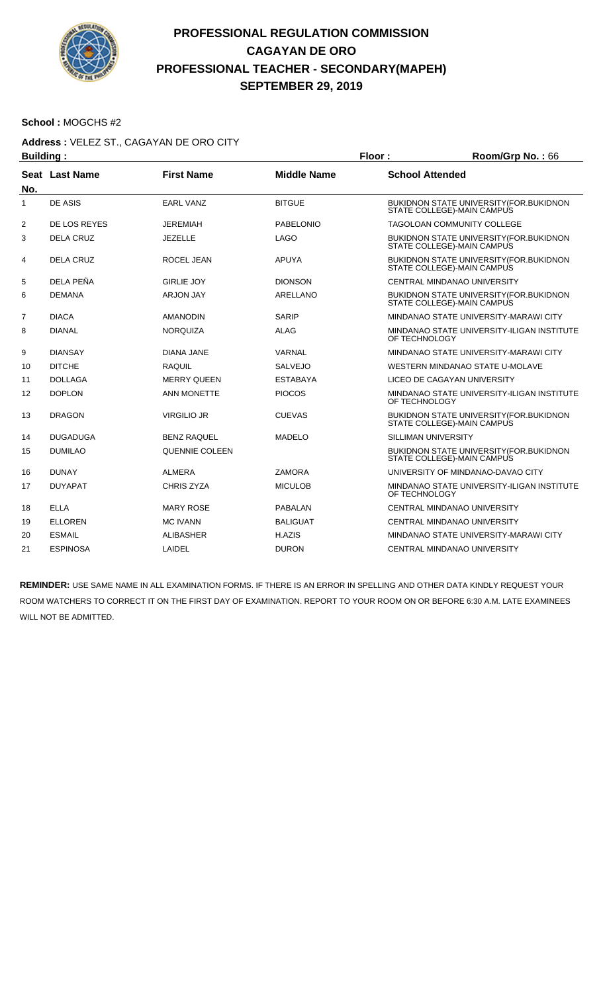

#### **School :** MOGCHS #2

### **Address :** VELEZ ST., CAGAYAN DE ORO CITY

| <b>Building:</b> |                  |                    |                    | Floor:                 | Room/Grp No.: 66                                                               |  |
|------------------|------------------|--------------------|--------------------|------------------------|--------------------------------------------------------------------------------|--|
| No.              | Seat Last Name   | <b>First Name</b>  | <b>Middle Name</b> | <b>School Attended</b> |                                                                                |  |
| 1                | DE ASIS          | <b>EARL VANZ</b>   | <b>BITGUE</b>      |                        | BUKIDNON STATE UNIVERSITY (FOR.BUKIDNON<br>STATE COLLEGE)-MAIN CAMPUS          |  |
| 2                | DE LOS REYES     | <b>JEREMIAH</b>    | <b>PABELONIO</b>   |                        | <b>TAGOLOAN COMMUNITY COLLEGE</b>                                              |  |
| 3                | <b>DELA CRUZ</b> | <b>JEZELLE</b>     | <b>LAGO</b>        |                        | <b>BUKIDNON STATE UNIVERSITY (FOR. BUKIDNON)</b><br>STATE COLLEGE)-MAIN CAMPUS |  |
| 4                | <b>DELA CRUZ</b> | ROCEL JEAN         | <b>APUYA</b>       |                        | BUKIDNON STATE UNIVERSITY (FOR. BUKIDNON<br>STATE COLLEGE)-MAIN CAMPUS         |  |
| 5                | DELA PEÑA        | <b>GIRLIE JOY</b>  | <b>DIONSON</b>     |                        | CENTRAL MINDANAO UNIVERSITY                                                    |  |
| 6                | <b>DEMANA</b>    | <b>ARJON JAY</b>   | ARELLANO           |                        | BUKIDNON STATE UNIVERSITY (FOR. BUKIDNON<br>STATE COLLEGE)-MAIN CAMPUS         |  |
| $\overline{7}$   | <b>DIACA</b>     | <b>AMANODIN</b>    | SARIP              |                        | MINDANAO STATE UNIVERSITY-MARAWI CITY                                          |  |
| 8                | <b>DIANAL</b>    | <b>NORQUIZA</b>    | <b>ALAG</b>        | OF TECHNOLOGY          | MINDANAO STATE UNIVERSITY-ILIGAN INSTITUTE                                     |  |
| 9                | <b>DIANSAY</b>   | <b>DIANA JANE</b>  | VARNAL             |                        | MINDANAO STATE UNIVERSITY-MARAWI CITY                                          |  |
| 10               | <b>DITCHE</b>    | <b>RAQUIL</b>      | <b>SALVEJO</b>     |                        | WESTERN MINDANAO STATE U-MOLAVE                                                |  |
| 11               | <b>DOLLAGA</b>   | <b>MERRY QUEEN</b> | <b>ESTABAYA</b>    |                        | LICEO DE CAGAYAN UNIVERSITY                                                    |  |
| 12               | <b>DOPLON</b>    | <b>ANN MONETTE</b> | <b>PIOCOS</b>      | OF TECHNOLOGY          | MINDANAO STATE UNIVERSITY-ILIGAN INSTITUTE                                     |  |
| 13               | <b>DRAGON</b>    | <b>VIRGILIO JR</b> | <b>CUEVAS</b>      |                        | BUKIDNON STATE UNIVERSITY (FOR. BUKIDNON<br>STATE COLLEGE)-MAIN CAMPUS         |  |
| 14               | <b>DUGADUGA</b>  | <b>BENZ RAQUEL</b> | MADELO             |                        | <b>SILLIMAN UNIVERSITY</b>                                                     |  |
| 15               | <b>DUMILAO</b>   | QUENNIE COLEEN     |                    |                        | BUKIDNON STATE UNIVERSITY (FOR.BUKIDNON<br>STATE COLLEGE)-MAIN CAMPUS          |  |
| 16               | <b>DUNAY</b>     | <b>ALMERA</b>      | <b>ZAMORA</b>      |                        | UNIVERSITY OF MINDANAO-DAVAO CITY                                              |  |
| 17               | <b>DUYAPAT</b>   | CHRIS ZYZA         | <b>MICULOB</b>     | OF TECHNOLOGY          | MINDANAO STATE UNIVERSITY-ILIGAN INSTITUTE                                     |  |
| 18               | <b>ELLA</b>      | <b>MARY ROSE</b>   | <b>PABALAN</b>     |                        | CENTRAL MINDANAO UNIVERSITY                                                    |  |
| 19               | <b>ELLOREN</b>   | <b>MC IVANN</b>    | <b>BALIGUAT</b>    |                        | CENTRAL MINDANAO UNIVERSITY                                                    |  |
| 20               | <b>ESMAIL</b>    | <b>ALIBASHER</b>   | H.AZIS             |                        | MINDANAO STATE UNIVERSITY-MARAWI CITY                                          |  |
| 21               | <b>ESPINOSA</b>  | LAIDEL             | <b>DURON</b>       |                        | CENTRAL MINDANAO UNIVERSITY                                                    |  |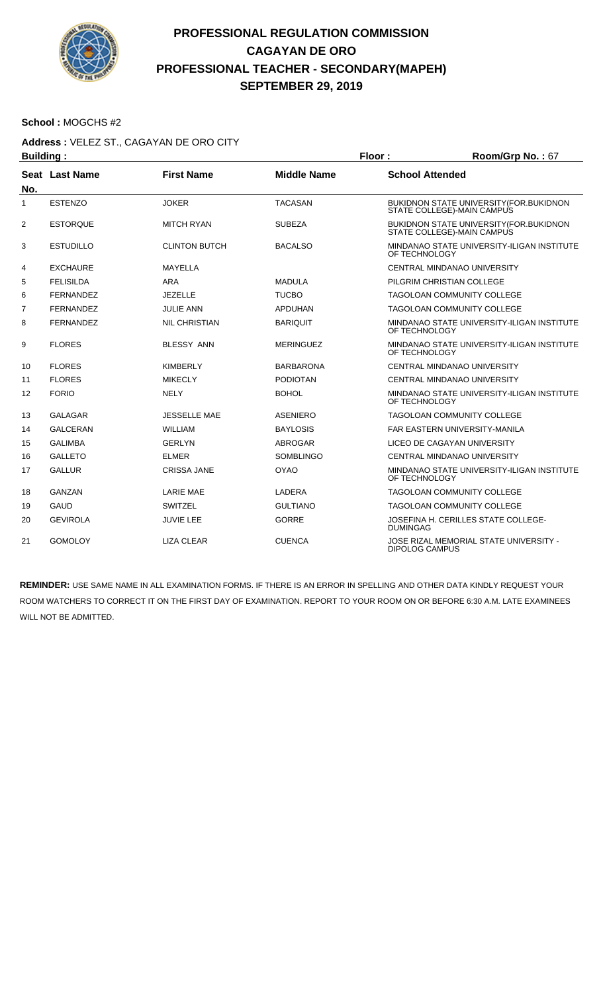

#### **School :** MOGCHS #2

# **Address :** VELEZ ST., CAGAYAN DE ORO CITY

| <b>Building:</b> |                       |                      | Floor:             |                        | Room/Grp No.: 67                                                       |
|------------------|-----------------------|----------------------|--------------------|------------------------|------------------------------------------------------------------------|
| No.              | <b>Seat Last Name</b> | <b>First Name</b>    | <b>Middle Name</b> | <b>School Attended</b> |                                                                        |
| $\mathbf{1}$     | <b>ESTENZO</b>        | <b>JOKER</b>         | <b>TACASAN</b>     |                        | BUKIDNON STATE UNIVERSITY (FOR. BUKIDNON<br>STATE COLLEGE)-MAIN CAMPUS |
| 2                | <b>ESTORQUE</b>       | <b>MITCH RYAN</b>    | <b>SUBEZA</b>      |                        | BUKIDNON STATE UNIVERSITY (FOR. BUKIDNON<br>STATE COLLEGE)-MAIN CAMPUS |
| 3                | <b>ESTUDILLO</b>      | <b>CLINTON BUTCH</b> | <b>BACALSO</b>     | OF TECHNOLOGY          | MINDANAO STATE UNIVERSITY-ILIGAN INSTITUTE                             |
| 4                | <b>EXCHAURE</b>       | MAYELLA              |                    |                        | CENTRAL MINDANAO UNIVERSITY                                            |
| 5                | <b>FELISILDA</b>      | <b>ARA</b>           | <b>MADULA</b>      |                        | PILGRIM CHRISTIAN COLLEGE                                              |
| 6                | <b>FERNANDEZ</b>      | <b>JEZELLE</b>       | <b>TUCBO</b>       |                        | TAGOLOAN COMMUNITY COLLEGE                                             |
| $\overline{7}$   | <b>FERNANDEZ</b>      | <b>JULIE ANN</b>     | <b>APDUHAN</b>     |                        | <b>TAGOLOAN COMMUNITY COLLEGE</b>                                      |
| 8                | <b>FERNANDEZ</b>      | <b>NIL CHRISTIAN</b> | <b>BARIQUIT</b>    | OF TECHNOLOGY          | MINDANAO STATE UNIVERSITY-ILIGAN INSTITUTE                             |
| 9                | <b>FLORES</b>         | <b>BLESSY ANN</b>    | <b>MERINGUEZ</b>   | OF TECHNOLOGY          | MINDANAO STATE UNIVERSITY-ILIGAN INSTITUTE                             |
| 10               | <b>FLORES</b>         | <b>KIMBERLY</b>      | <b>BARBARONA</b>   |                        | CENTRAL MINDANAO UNIVERSITY                                            |
| 11               | <b>FLORES</b>         | <b>MIKECLY</b>       | <b>PODIOTAN</b>    |                        | CENTRAL MINDANAO UNIVERSITY                                            |
| 12               | <b>FORIO</b>          | <b>NELY</b>          | <b>BOHOL</b>       | OF TECHNOLOGY          | MINDANAO STATE UNIVERSITY-ILIGAN INSTITUTE                             |
| 13               | <b>GALAGAR</b>        | <b>JESSELLE MAE</b>  | <b>ASENIERO</b>    |                        | <b>TAGOLOAN COMMUNITY COLLEGE</b>                                      |
| 14               | <b>GALCERAN</b>       | <b>WILLIAM</b>       | <b>BAYLOSIS</b>    |                        | FAR EASTERN UNIVERSITY-MANILA                                          |
| 15               | <b>GALIMBA</b>        | <b>GERLYN</b>        | ABROGAR            |                        | LICEO DE CAGAYAN UNIVERSITY                                            |
| 16               | <b>GALLETO</b>        | ELMER                | <b>SOMBLINGO</b>   |                        | CENTRAL MINDANAO UNIVERSITY                                            |
| 17               | <b>GALLUR</b>         | <b>CRISSA JANE</b>   | <b>OYAO</b>        | OF TECHNOLOGY          | MINDANAO STATE UNIVERSITY-ILIGAN INSTITUTE                             |
| 18               | <b>GANZAN</b>         | <b>LARIE MAE</b>     | <b>LADERA</b>      |                        | <b>TAGOLOAN COMMUNITY COLLEGE</b>                                      |
| 19               | <b>GAUD</b>           | <b>SWITZEL</b>       | <b>GULTIANO</b>    |                        | <b>TAGOLOAN COMMUNITY COLLEGE</b>                                      |
| 20               | <b>GEVIROLA</b>       | <b>JUVIE LEE</b>     | <b>GORRE</b>       | <b>DUMINGAG</b>        | JOSEFINA H. CERILLES STATE COLLEGE-                                    |
| 21               | <b>GOMOLOY</b>        | <b>LIZA CLEAR</b>    | <b>CUENCA</b>      | DIPOLOG CAMPUS         | JOSE RIZAL MEMORIAL STATE UNIVERSITY -                                 |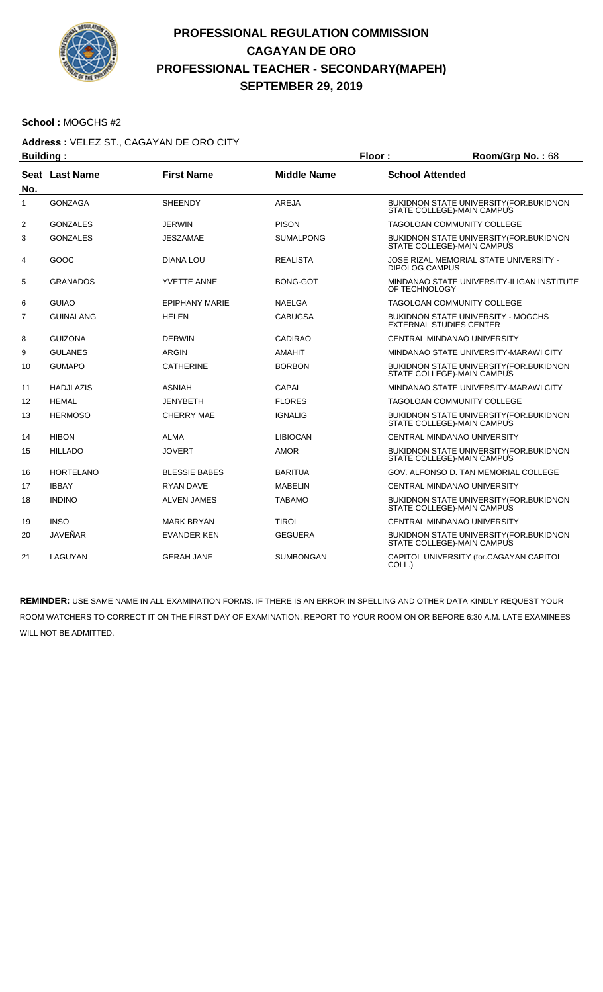

#### **School :** MOGCHS #2

# **Address :** VELEZ ST., CAGAYAN DE ORO CITY

|                | <b>Building:</b>      |                       |                    |                        | Room/Grp No.: 68                                                             |
|----------------|-----------------------|-----------------------|--------------------|------------------------|------------------------------------------------------------------------------|
|                | <b>Seat Last Name</b> | <b>First Name</b>     | <b>Middle Name</b> | <b>School Attended</b> |                                                                              |
| No.            |                       |                       |                    |                        |                                                                              |
| $\mathbf{1}$   | <b>GONZAGA</b>        | <b>SHEENDY</b>        | <b>AREJA</b>       |                        | BUKIDNON STATE UNIVERSITY (FOR. BUKIDNON<br>STATE COLLEGE)-MAIN CAMPUS       |
| 2              | <b>GONZALES</b>       | <b>JERWIN</b>         | <b>PISON</b>       |                        | TAGOLOAN COMMUNITY COLLEGE                                                   |
| 3              | <b>GONZALES</b>       | <b>JESZAMAE</b>       | <b>SUMALPONG</b>   |                        | BUKIDNON STATE UNIVERSITY (FOR. BUKIDNON<br>STATE COLLEGE)-MAIN CAMPUS       |
| 4              | GOOC                  | <b>DIANA LOU</b>      | <b>REALISTA</b>    | <b>DIPOLOG CAMPUS</b>  | JOSE RIZAL MEMORIAL STATE UNIVERSITY -                                       |
| 5              | <b>GRANADOS</b>       | <b>YVETTE ANNE</b>    | <b>BONG-GOT</b>    | OF TECHNOLOGY          | MINDANAO STATE UNIVERSITY-ILIGAN INSTITUTE                                   |
| 6              | <b>GUIAO</b>          | <b>EPIPHANY MARIE</b> | NAELGA             |                        | <b>TAGOLOAN COMMUNITY COLLEGE</b>                                            |
| $\overline{7}$ | <b>GUINALANG</b>      | <b>HELEN</b>          | <b>CABUGSA</b>     |                        | <b>BUKIDNON STATE UNIVERSITY - MOGCHS</b><br><b>EXTERNAL STUDIES CENTER</b>  |
| 8              | <b>GUIZONA</b>        | <b>DERWIN</b>         | <b>CADIRAO</b>     |                        | CENTRAL MINDANAO UNIVERSITY                                                  |
| 9              | <b>GULANES</b>        | <b>ARGIN</b>          | <b>AMAHIT</b>      |                        | MINDANAO STATE UNIVERSITY-MARAWI CITY                                        |
| 10             | <b>GUMAPO</b>         | <b>CATHERINE</b>      | <b>BORBON</b>      |                        | BUKIDNON STATE UNIVERSITY (FOR. BUKIDNON<br>STATE COLLEGE)-MAIN CAMPUS       |
| 11             | <b>HADJI AZIS</b>     | <b>ASNIAH</b>         | CAPAL              |                        | MINDANAO STATE UNIVERSITY-MARAWI CITY                                        |
| 12             | <b>HEMAL</b>          | <b>JENYBETH</b>       | <b>FLORES</b>      |                        | <b>TAGOLOAN COMMUNITY COLLEGE</b>                                            |
| 13             | <b>HERMOSO</b>        | <b>CHERRY MAE</b>     | <b>IGNALIG</b>     |                        | BUKIDNON STATE UNIVERSITY (FOR. BUKIDNON<br>STATE COLLEGE)-MAIN CAMPUS       |
| 14             | <b>HIBON</b>          | <b>ALMA</b>           | <b>LIBIOCAN</b>    |                        | CENTRAL MINDANAO UNIVERSITY                                                  |
| 15             | <b>HILLADO</b>        | <b>JOVERT</b>         | <b>AMOR</b>        |                        | <b>BUKIDNON STATE UNIVERSITY (FOR.BUKIDNON</b><br>STATE COLLEGE)-MAIN CAMPUS |
| 16             | <b>HORTELANO</b>      | <b>BLESSIE BABES</b>  | <b>BARITUA</b>     |                        | GOV. ALFONSO D. TAN MEMORIAL COLLEGE                                         |
| 17             | <b>IBBAY</b>          | <b>RYAN DAVE</b>      | <b>MABELIN</b>     |                        | CENTRAL MINDANAO UNIVERSITY                                                  |
| 18             | <b>INDINO</b>         | <b>ALVEN JAMES</b>    | <b>TABAMO</b>      |                        | BUKIDNON STATE UNIVERSITY(FOR.BUKIDNON<br>STATE COLLEGE)-MAIN CAMPUS         |
| 19             | <b>INSO</b>           | <b>MARK BRYAN</b>     | <b>TIROL</b>       |                        | CENTRAL MINDANAO UNIVERSITY                                                  |
| 20             | JAVEÑAR               | <b>EVANDER KEN</b>    | <b>GEGUERA</b>     |                        | BUKIDNON STATE UNIVERSITY (FOR. BUKIDNON<br>STATE COLLEGE)-MAIN CAMPUS       |
| 21             | LAGUYAN               | <b>GERAH JANE</b>     | <b>SUMBONGAN</b>   | COLL.)                 | CAPITOL UNIVERSITY (for.CAGAYAN CAPITOL                                      |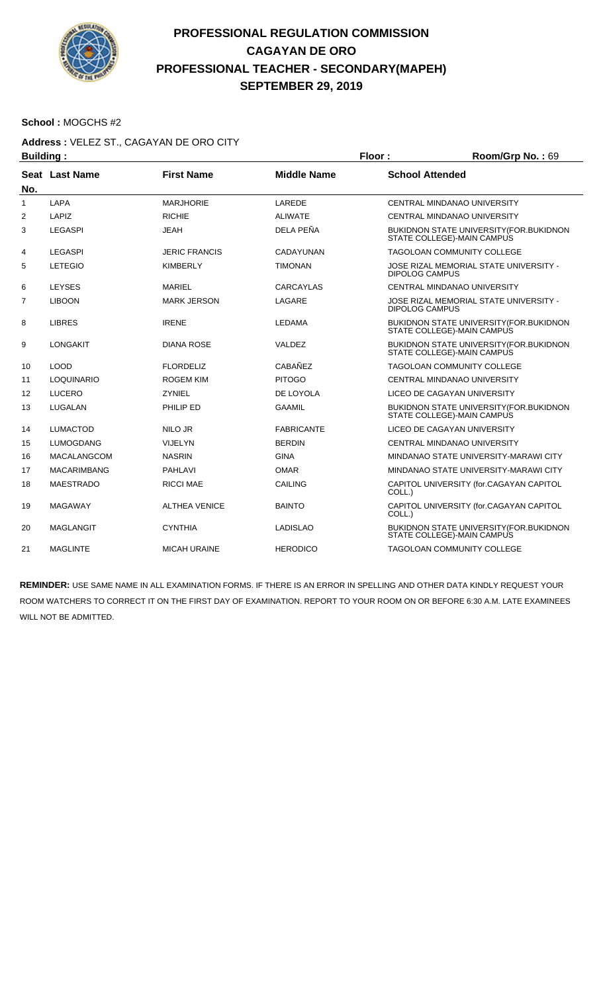

#### **School :** MOGCHS #2

### **Address :** VELEZ ST., CAGAYAN DE ORO CITY

| <b>Building:</b> |                    |                      |                    | Floor:                 | Room/Grp No.: 69                                                       |
|------------------|--------------------|----------------------|--------------------|------------------------|------------------------------------------------------------------------|
| No.              | Seat Last Name     | <b>First Name</b>    | <b>Middle Name</b> | <b>School Attended</b> |                                                                        |
| $\mathbf{1}$     | <b>LAPA</b>        | <b>MARJHORIE</b>     | LAREDE             |                        | <b>CENTRAL MINDANAO UNIVERSITY</b>                                     |
| 2                | LAPIZ              | <b>RICHIE</b>        | <b>ALIWATE</b>     |                        | CENTRAL MINDANAO UNIVERSITY                                            |
| 3                | LEGASPI            | <b>JEAH</b>          | DELA PEÑA          |                        | BUKIDNON STATE UNIVERSITY (FOR. BUKIDNON<br>STATE COLLEGE)-MAIN CAMPUS |
| 4                | <b>LEGASPI</b>     | <b>JERIC FRANCIS</b> | <b>CADAYUNAN</b>   |                        | <b>TAGOLOAN COMMUNITY COLLEGE</b>                                      |
| 5                | <b>LETEGIO</b>     | <b>KIMBERLY</b>      | <b>TIMONAN</b>     | <b>DIPOLOG CAMPUS</b>  | JOSE RIZAL MEMORIAL STATE UNIVERSITY -                                 |
| 6                | <b>LEYSES</b>      | <b>MARIEL</b>        | <b>CARCAYLAS</b>   |                        | CENTRAL MINDANAO UNIVERSITY                                            |
| $\overline{7}$   | <b>LIBOON</b>      | <b>MARK JERSON</b>   | LAGARE             | <b>DIPOLOG CAMPUS</b>  | JOSE RIZAL MEMORIAL STATE UNIVERSITY -                                 |
| 8                | <b>LIBRES</b>      | <b>IRENE</b>         | <b>LEDAMA</b>      |                        | BUKIDNON STATE UNIVERSITY (FOR.BUKIDNON<br>STATE COLLEGE)-MAIN CAMPUS  |
| 9                | <b>LONGAKIT</b>    | <b>DIANA ROSE</b>    | VALDEZ             |                        | BUKIDNON STATE UNIVERSITY (FOR. BUKIDNON<br>STATE COLLEGE)-MAIN CAMPUS |
| 10               | <b>LOOD</b>        | <b>FLORDELIZ</b>     | <b>CABAÑEZ</b>     |                        | <b>TAGOLOAN COMMUNITY COLLEGE</b>                                      |
| 11               | LOQUINARIO         | <b>ROGEM KIM</b>     | <b>PITOGO</b>      |                        | CENTRAL MINDANAO UNIVERSITY                                            |
| 12               | <b>LUCERO</b>      | <b>ZYNIEL</b>        | DE LOYOLA          |                        | LICEO DE CAGAYAN UNIVERSITY                                            |
| 13               | LUGALAN            | PHILIP ED            | <b>GAAMIL</b>      |                        | BUKIDNON STATE UNIVERSITY (FOR BUKIDNON<br>STATE COLLEGE)-MAIN CAMPUS  |
| 14               | <b>LUMACTOD</b>    | NILO JR              | <b>FABRICANTE</b>  |                        | LICEO DE CAGAYAN UNIVERSITY                                            |
| 15               | <b>LUMOGDANG</b>   | <b>VIJELYN</b>       | <b>BERDIN</b>      |                        | CENTRAL MINDANAO UNIVERSITY                                            |
| 16               | MACALANGCOM        | <b>NASRIN</b>        | <b>GINA</b>        |                        | MINDANAO STATE UNIVERSITY-MARAWI CITY                                  |
| 17               | <b>MACARIMBANG</b> | <b>PAHLAVI</b>       | <b>OMAR</b>        |                        | MINDANAO STATE UNIVERSITY-MARAWI CITY                                  |
| 18               | <b>MAESTRADO</b>   | <b>RICCI MAE</b>     | <b>CAILING</b>     | COLL.)                 | CAPITOL UNIVERSITY (for.CAGAYAN CAPITOL                                |
| 19               | <b>MAGAWAY</b>     | <b>ALTHEA VENICE</b> | <b>BAINTO</b>      | COLL.)                 | CAPITOL UNIVERSITY (for.CAGAYAN CAPITOL                                |
| 20               | <b>MAGLANGIT</b>   | <b>CYNTHIA</b>       | <b>LADISLAO</b>    |                        | BUKIDNON STATE UNIVERSITY (FOR BUKIDNON<br>STATE COLLEGE)-MAIN CAMPUS  |
| 21               | <b>MAGLINTE</b>    | <b>MICAH URAINE</b>  | <b>HERODICO</b>    |                        | <b>TAGOLOAN COMMUNITY COLLEGE</b>                                      |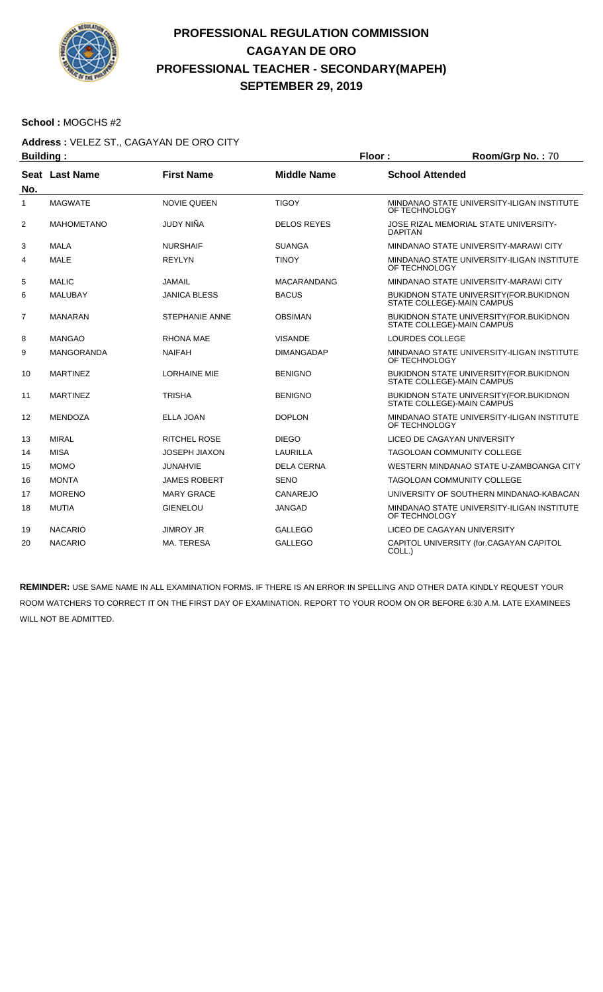

#### **School :** MOGCHS #2

## **Address :** VELEZ ST., CAGAYAN DE ORO CITY

| <b>Building:</b> |                   |                      |                    | Floor:                 | Room/Grp No.: 70                                                              |  |
|------------------|-------------------|----------------------|--------------------|------------------------|-------------------------------------------------------------------------------|--|
| No.              | Seat Last Name    | <b>First Name</b>    | <b>Middle Name</b> | <b>School Attended</b> |                                                                               |  |
| $\mathbf{1}$     | <b>MAGWATE</b>    | <b>NOVIE QUEEN</b>   | <b>TIGOY</b>       | OF TECHNOLOGY          | MINDANAO STATE UNIVERSITY-ILIGAN INSTITUTE                                    |  |
| $\overline{2}$   | <b>MAHOMETANO</b> | JUDY NIÑA            | <b>DELOS REYES</b> | <b>DAPITAN</b>         | JOSE RIZAL MEMORIAL STATE UNIVERSITY-                                         |  |
| 3                | <b>MALA</b>       | <b>NURSHAIF</b>      | <b>SUANGA</b>      |                        | MINDANAO STATE UNIVERSITY-MARAWI CITY                                         |  |
| 4                | <b>MALE</b>       | <b>REYLYN</b>        | <b>TINOY</b>       | OF TECHNOLOGY          | MINDANAO STATE UNIVERSITY-ILIGAN INSTITUTE                                    |  |
| 5                | <b>MALIC</b>      | <b>JAMAIL</b>        | <b>MACARANDANG</b> |                        | MINDANAO STATE UNIVERSITY-MARAWI CITY                                         |  |
| 6                | <b>MALUBAY</b>    | <b>JANICA BLESS</b>  | <b>BACUS</b>       |                        | <b>BUKIDNON STATE UNIVERSITY (FOR.BUKIDNON)</b><br>STATE COLLEGE)-MAIN CAMPUS |  |
| $\overline{7}$   | <b>MANARAN</b>    | STEPHANIE ANNE       | <b>OBSIMAN</b>     |                        | BUKIDNON STATE UNIVERSITY (FOR. BUKIDNON<br>STATE COLLEGE)-MAIN CAMPUS        |  |
| 8                | <b>MANGAO</b>     | <b>RHONA MAE</b>     | <b>VISANDE</b>     | <b>LOURDES COLLEGE</b> |                                                                               |  |
| 9                | <b>MANGORANDA</b> | <b>NAIFAH</b>        | DIMANGADAP         | OF TECHNOLOGY          | MINDANAO STATE UNIVERSITY-ILIGAN INSTITUTE                                    |  |
| 10               | <b>MARTINEZ</b>   | <b>LORHAINE MIE</b>  | <b>BENIGNO</b>     |                        | BUKIDNON STATE UNIVERSITY (FOR. BUKIDNON<br>STATE COLLEGE)-MAIN CAMPUS        |  |
| 11               | <b>MARTINEZ</b>   | <b>TRISHA</b>        | <b>BENIGNO</b>     |                        | BUKIDNON STATE UNIVERSITY (FOR.BUKIDNON<br>STATE COLLEGE)-MAIN CAMPUS         |  |
| 12               | <b>MENDOZA</b>    | <b>ELLA JOAN</b>     | <b>DOPLON</b>      | OF TECHNOLOGY          | MINDANAO STATE UNIVERSITY-ILIGAN INSTITUTE                                    |  |
| 13               | <b>MIRAL</b>      | <b>RITCHEL ROSE</b>  | <b>DIEGO</b>       |                        | LICEO DE CAGAYAN UNIVERSITY                                                   |  |
| 14               | <b>MISA</b>       | <b>JOSEPH JIAXON</b> | <b>LAURILLA</b>    |                        | <b>TAGOLOAN COMMUNITY COLLEGE</b>                                             |  |
| 15               | <b>MOMO</b>       | <b>JUNAHVIE</b>      | <b>DELA CERNA</b>  |                        | WESTERN MINDANAO STATE U-ZAMBOANGA CITY                                       |  |
| 16               | <b>MONTA</b>      | <b>JAMES ROBERT</b>  | <b>SENO</b>        |                        | <b>TAGOLOAN COMMUNITY COLLEGE</b>                                             |  |
| 17               | <b>MORENO</b>     | <b>MARY GRACE</b>    | CANAREJO           |                        | UNIVERSITY OF SOUTHERN MINDANAO-KABACAN                                       |  |
| 18               | <b>MUTIA</b>      | <b>GIENELOU</b>      | <b>JANGAD</b>      | OF TECHNOLOGY          | MINDANAO STATE UNIVERSITY-ILIGAN INSTITUTE                                    |  |
| 19               | <b>NACARIO</b>    | <b>JIMROY JR</b>     | <b>GALLEGO</b>     |                        | LICEO DE CAGAYAN UNIVERSITY                                                   |  |
| 20               | <b>NACARIO</b>    | MA. TERESA           | <b>GALLEGO</b>     | COLL.)                 | CAPITOL UNIVERSITY (for.CAGAYAN CAPITOL                                       |  |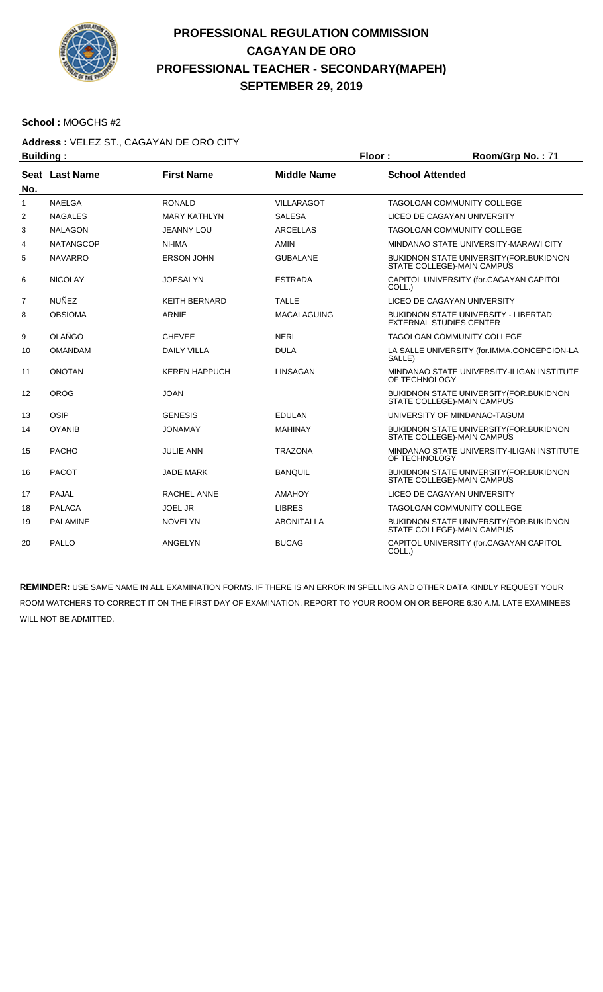

#### **School :** MOGCHS #2

### **Address :** VELEZ ST., CAGAYAN DE ORO CITY

| <b>Building:</b> |                  |                      |                    | Floor:                 | Room/Grp No.: 71                                                               |
|------------------|------------------|----------------------|--------------------|------------------------|--------------------------------------------------------------------------------|
| No.              | Seat Last Name   | <b>First Name</b>    | <b>Middle Name</b> | <b>School Attended</b> |                                                                                |
| 1                | <b>NAELGA</b>    | <b>RONALD</b>        | <b>VILLARAGOT</b>  |                        | <b>TAGOLOAN COMMUNITY COLLEGE</b>                                              |
| 2                | <b>NAGALES</b>   | <b>MARY KATHLYN</b>  | <b>SALESA</b>      |                        | LICEO DE CAGAYAN UNIVERSITY                                                    |
| 3                | <b>NALAGON</b>   | <b>JEANNY LOU</b>    | <b>ARCELLAS</b>    |                        | <b>TAGOLOAN COMMUNITY COLLEGE</b>                                              |
| 4                | <b>NATANGCOP</b> | NI-IMA               | <b>AMIN</b>        |                        | MINDANAO STATE UNIVERSITY-MARAWI CITY                                          |
| 5                | <b>NAVARRO</b>   | <b>ERSON JOHN</b>    | <b>GUBALANE</b>    |                        | <b>BUKIDNON STATE UNIVERSITY (FOR.BUKIDNON)</b><br>STATE COLLEGE)-MAIN CAMPUS  |
| 6                | <b>NICOLAY</b>   | <b>JOESALYN</b>      | <b>ESTRADA</b>     | COLL.)                 | CAPITOL UNIVERSITY (for.CAGAYAN CAPITOL                                        |
| $\overline{7}$   | <b>NUÑEZ</b>     | <b>KEITH BERNARD</b> | <b>TALLE</b>       |                        | LICEO DE CAGAYAN UNIVERSITY                                                    |
| 8                | <b>OBSIOMA</b>   | ARNIE                | <b>MACALAGUING</b> |                        | <b>BUKIDNON STATE UNIVERSITY - LIBERTAD</b><br><b>EXTERNAL STUDIES CENTER</b>  |
| 9                | <b>OLAÑGO</b>    | <b>CHEVEE</b>        | <b>NERI</b>        |                        | <b>TAGOLOAN COMMUNITY COLLEGE</b>                                              |
| 10               | <b>OMANDAM</b>   | <b>DAILY VILLA</b>   | <b>DULA</b>        | SALLE)                 | LA SALLE UNIVERSITY (for.IMMA.CONCEPCION-LA                                    |
| 11               | <b>ONOTAN</b>    | <b>KEREN HAPPUCH</b> | LINSAGAN           | OF TECHNOLOGY          | MINDANAO STATE UNIVERSITY-ILIGAN INSTITUTE                                     |
| 12               | <b>OROG</b>      | <b>JOAN</b>          |                    |                        | BUKIDNON STATE UNIVERSITY (FOR. BUKIDNON<br>STATE COLLEGE)-MAIN CAMPUS         |
| 13               | OSIP             | <b>GENESIS</b>       | <b>EDULAN</b>      |                        | UNIVERSITY OF MINDANAO-TAGUM                                                   |
| 14               | <b>OYANIB</b>    | <b>JONAMAY</b>       | <b>MAHINAY</b>     |                        | <b>BUKIDNON STATE UNIVERSITY (FOR. BUKIDNON)</b><br>STATE COLLEGE)-MAIN CAMPUS |
| 15               | <b>PACHO</b>     | <b>JULIE ANN</b>     | <b>TRAZONA</b>     | OF TECHNOLOGY          | MINDANAO STATE UNIVERSITY-ILIGAN INSTITUTE                                     |
| 16               | <b>PACOT</b>     | <b>JADE MARK</b>     | <b>BANQUIL</b>     |                        | <b>BUKIDNON STATE UNIVERSITY (FOR. BUKIDNON)</b><br>STATE COLLEGE)-MAIN CAMPUS |
| 17               | PAJAL            | RACHEL ANNE          | <b>AMAHOY</b>      |                        | LICEO DE CAGAYAN UNIVERSITY                                                    |
| 18               | <b>PALACA</b>    | <b>JOEL JR</b>       | <b>LIBRES</b>      |                        | TAGOLOAN COMMUNITY COLLEGE                                                     |
| 19               | <b>PALAMINE</b>  | <b>NOVELYN</b>       | <b>ABONITALLA</b>  |                        | BUKIDNON STATE UNIVERSITY (FOR. BUKIDNON<br>STATE COLLEGE)-MAIN CAMPUS         |
| 20               | <b>PALLO</b>     | ANGELYN              | <b>BUCAG</b>       | COLL.)                 | CAPITOL UNIVERSITY (for.CAGAYAN CAPITOL                                        |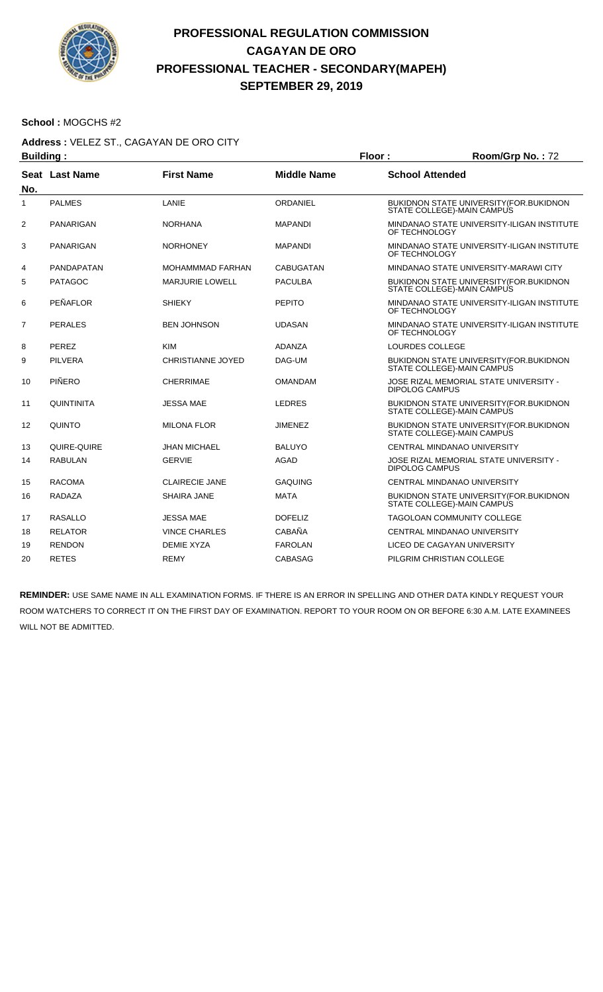

#### **School :** MOGCHS #2

# **Address :** VELEZ ST., CAGAYAN DE ORO CITY

| <b>Building:</b> |                   |                          |                    | Floor:                 | Room/Grp No.: 72                                                               |  |
|------------------|-------------------|--------------------------|--------------------|------------------------|--------------------------------------------------------------------------------|--|
| No.              | Seat Last Name    | <b>First Name</b>        | <b>Middle Name</b> | <b>School Attended</b> |                                                                                |  |
| 1                | <b>PALMES</b>     | LANIE                    | ORDANIEL           |                        | <b>BUKIDNON STATE UNIVERSITY (FOR. BUKIDNON)</b><br>STATE COLLEGE)-MAIN CAMPUS |  |
| 2                | <b>PANARIGAN</b>  | <b>NORHANA</b>           | <b>MAPANDI</b>     | OF TECHNOLOGY          | MINDANAO STATE UNIVERSITY-ILIGAN INSTITUTE                                     |  |
| 3                | <b>PANARIGAN</b>  | <b>NORHONEY</b>          | <b>MAPANDI</b>     | OF TECHNOLOGY          | MINDANAO STATE UNIVERSITY-ILIGAN INSTITUTE                                     |  |
| 4                | PANDAPATAN        | <b>MOHAMMMAD FARHAN</b>  | <b>CABUGATAN</b>   |                        | MINDANAO STATE UNIVERSITY-MARAWI CITY                                          |  |
| 5                | <b>PATAGOC</b>    | <b>MARJURIE LOWELL</b>   | <b>PACULBA</b>     |                        | <b>BUKIDNON STATE UNIVERSITY (FOR.BUKIDNON</b><br>STATE COLLEGE)-MAIN CAMPUS   |  |
| 6                | <b>PEÑAFLOR</b>   | <b>SHIEKY</b>            | <b>PEPITO</b>      | OF TECHNOLOGY          | MINDANAO STATE UNIVERSITY-ILIGAN INSTITUTE                                     |  |
| 7                | <b>PERALES</b>    | <b>BEN JOHNSON</b>       | <b>UDASAN</b>      | OF TECHNOLOGY          | MINDANAO STATE UNIVERSITY-ILIGAN INSTITUTE                                     |  |
| 8                | PEREZ             | <b>KIM</b>               | <b>ADANZA</b>      | LOURDES COLLEGE        |                                                                                |  |
| 9                | <b>PILVERA</b>    | <b>CHRISTIANNE JOYED</b> | DAG-UM             |                        | BUKIDNON STATE UNIVERSITY (FOR. BUKIDNON<br>STATE COLLEGE)-MAIN CAMPUS         |  |
| 10               | PIÑERO            | CHERRIMAE                | <b>OMANDAM</b>     | <b>DIPOLOG CAMPUS</b>  | JOSE RIZAL MEMORIAL STATE UNIVERSITY -                                         |  |
| 11               | <b>QUINTINITA</b> | <b>JESSA MAE</b>         | <b>LEDRES</b>      |                        | BUKIDNON STATE UNIVERSITY (FOR. BUKIDNON<br>STATE COLLEGE)-MAIN CAMPUS         |  |
| 12               | <b>QUINTO</b>     | <b>MILONA FLOR</b>       | <b>JIMENEZ</b>     |                        | <b>BUKIDNON STATE UNIVERSITY (FOR. BUKIDNON)</b><br>STATE COLLEGE)-MAIN CAMPUS |  |
| 13               | QUIRE-QUIRE       | <b>JHAN MICHAEL</b>      | BALUYO             |                        | CENTRAL MINDANAO UNIVERSITY                                                    |  |
| 14               | <b>RABULAN</b>    | <b>GERVIE</b>            | <b>AGAD</b>        | <b>DIPOLOG CAMPUS</b>  | JOSE RIZAL MEMORIAL STATE UNIVERSITY -                                         |  |
| 15               | <b>RACOMA</b>     | <b>CLAIRECIE JANE</b>    | <b>GAQUING</b>     |                        | CENTRAL MINDANAO UNIVERSITY                                                    |  |
| 16               | <b>RADAZA</b>     | <b>SHAIRA JANE</b>       | <b>MATA</b>        |                        | BUKIDNON STATE UNIVERSITY (FOR. BUKIDNON<br>STATE COLLEGE)-MAIN CAMPUS         |  |
| 17               | <b>RASALLO</b>    | <b>JESSA MAE</b>         | <b>DOFELIZ</b>     |                        | <b>TAGOLOAN COMMUNITY COLLEGE</b>                                              |  |
| 18               | <b>RELATOR</b>    | <b>VINCE CHARLES</b>     | CABAÑA             |                        | CENTRAL MINDANAO UNIVERSITY                                                    |  |
| 19               | <b>RENDON</b>     | <b>DEMIE XYZA</b>        | <b>FAROLAN</b>     |                        | LICEO DE CAGAYAN UNIVERSITY                                                    |  |
| 20               | <b>RETES</b>      | <b>REMY</b>              | <b>CABASAG</b>     |                        | PILGRIM CHRISTIAN COLLEGE                                                      |  |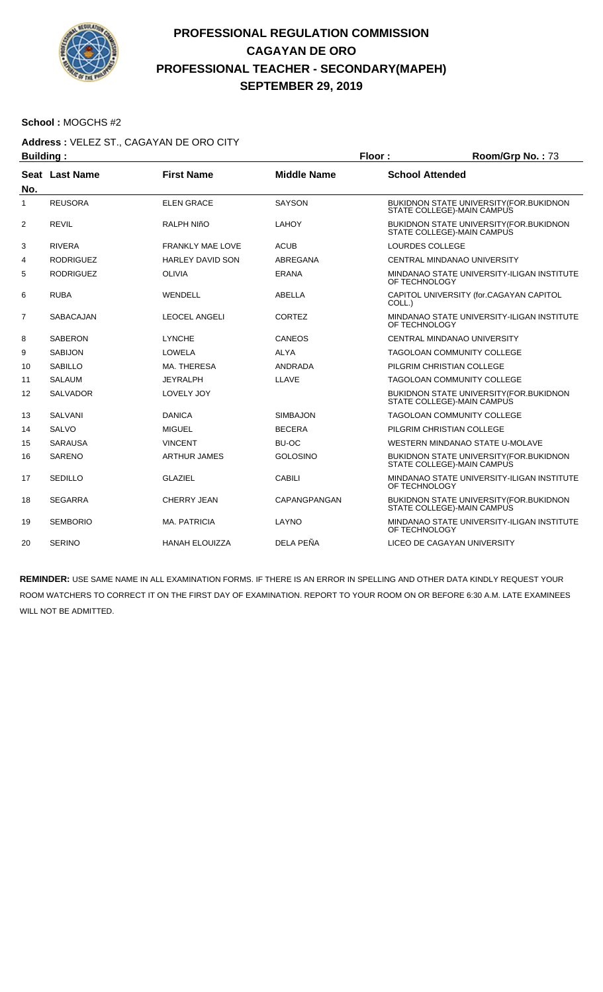

#### **School :** MOGCHS #2

## **Address :** VELEZ ST., CAGAYAN DE ORO CITY

| <b>Building:</b> |                  |                         |                     | Floor:                 | Room/Grp No.: 73                                                               |
|------------------|------------------|-------------------------|---------------------|------------------------|--------------------------------------------------------------------------------|
| No.              | Seat Last Name   | <b>First Name</b>       | <b>Middle Name</b>  | <b>School Attended</b> |                                                                                |
| $\mathbf{1}$     | <b>REUSORA</b>   | <b>ELEN GRACE</b>       | <b>SAYSON</b>       |                        | BUKIDNON STATE UNIVERSITY (FOR.BUKIDNON<br>STATE COLLEGE)-MAIN CAMPUS          |
| 2                | <b>REVIL</b>     | <b>RALPH NIñO</b>       | <b>LAHOY</b>        |                        | <b>BUKIDNON STATE UNIVERSITY (FOR. BUKIDNON)</b><br>STATE COLLEGE)-MAIN CAMPUS |
| 3                | <b>RIVERA</b>    | <b>FRANKLY MAE LOVE</b> | <b>ACUB</b>         | LOURDES COLLEGE        |                                                                                |
| 4                | <b>RODRIGUEZ</b> | <b>HARLEY DAVID SON</b> | ABREGANA            |                        | CENTRAL MINDANAO UNIVERSITY                                                    |
| 5                | <b>RODRIGUEZ</b> | <b>OLIVIA</b>           | <b>ERANA</b>        | OF TECHNOLOGY          | MINDANAO STATE UNIVERSITY-ILIGAN INSTITUTE                                     |
| 6                | <b>RUBA</b>      | WENDELL                 | ABELLA              | COLL.)                 | CAPITOL UNIVERSITY (for.CAGAYAN CAPITOL                                        |
| $\overline{7}$   | <b>SABACAJAN</b> | <b>LEOCEL ANGELI</b>    | <b>CORTEZ</b>       | OF TECHNOLOGY          | MINDANAO STATE UNIVERSITY-ILIGAN INSTITUTE                                     |
| 8                | <b>SABERON</b>   | <b>LYNCHE</b>           | CANEOS              |                        | <b>CENTRAL MINDANAO UNIVERSITY</b>                                             |
| 9                | <b>SABIJON</b>   | LOWELA                  | <b>ALYA</b>         |                        | TAGOLOAN COMMUNITY COLLEGE                                                     |
| 10               | <b>SABILLO</b>   | MA. THERESA             | <b>ANDRADA</b>      |                        | PILGRIM CHRISTIAN COLLEGE                                                      |
| 11               | <b>SALAUM</b>    | <b>JEYRALPH</b>         | LLAVE               |                        | <b>TAGOLOAN COMMUNITY COLLEGE</b>                                              |
| 12               | <b>SALVADOR</b>  | LOVELY JOY              |                     |                        | BUKIDNON STATE UNIVERSITY (FOR. BUKIDNON<br>STATE COLLEGE)-MAIN CAMPUS         |
| 13               | <b>SALVANI</b>   | <b>DANICA</b>           | <b>SIMBAJON</b>     |                        | <b>TAGOLOAN COMMUNITY COLLEGE</b>                                              |
| 14               | <b>SALVO</b>     | <b>MIGUEL</b>           | <b>BECERA</b>       |                        | PILGRIM CHRISTIAN COLLEGE                                                      |
| 15               | <b>SARAUSA</b>   | <b>VINCENT</b>          | BU-OC               |                        | WESTERN MINDANAO STATE U-MOLAVE                                                |
| 16               | <b>SARENO</b>    | <b>ARTHUR JAMES</b>     | <b>GOLOSINO</b>     |                        | BUKIDNON STATE UNIVERSITY (FOR.BUKIDNON<br>STATE COLLEGE)-MAIN CAMPUS          |
| 17               | <b>SEDILLO</b>   | <b>GLAZIEL</b>          | <b>CABILI</b>       | OF TECHNOLOGY          | MINDANAO STATE UNIVERSITY-ILIGAN INSTITUTE                                     |
| 18               | <b>SEGARRA</b>   | <b>CHERRY JEAN</b>      | <b>CAPANGPANGAN</b> |                        | <b>BUKIDNON STATE UNIVERSITY (FOR. BUKIDNON)</b><br>STATE COLLEGE)-MAIN CAMPUS |
| 19               | <b>SEMBORIO</b>  | <b>MA. PATRICIA</b>     | LAYNO               | OF TECHNOLOGY          | MINDANAO STATE UNIVERSITY-ILIGAN INSTITUTE                                     |
| 20               | <b>SERINO</b>    | <b>HANAH ELOUIZZA</b>   | DELA PEÑA           |                        | LICEO DE CAGAYAN UNIVERSITY                                                    |
|                  |                  |                         |                     |                        |                                                                                |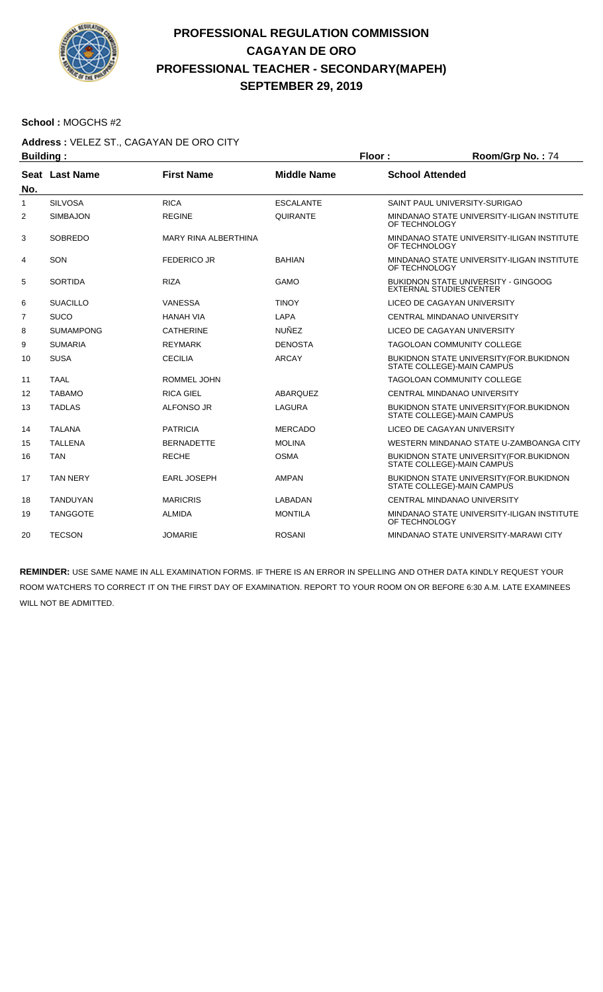

#### **School :** MOGCHS #2

### **Address :** VELEZ ST., CAGAYAN DE ORO CITY

| <b>Building:</b> |                  |                             |                    | Floor:        | Room/Grp No.: 74                                                              |  |
|------------------|------------------|-----------------------------|--------------------|---------------|-------------------------------------------------------------------------------|--|
|                  | Seat Last Name   | <b>First Name</b>           | <b>Middle Name</b> |               | <b>School Attended</b>                                                        |  |
| No.              |                  |                             |                    |               |                                                                               |  |
| $\mathbf{1}$     | <b>SILVOSA</b>   | <b>RICA</b>                 | <b>ESCALANTE</b>   |               | SAINT PAUL UNIVERSITY-SURIGAO                                                 |  |
| 2                | <b>SIMBAJON</b>  | <b>REGINE</b>               | QUIRANTE           | OF TECHNOLOGY | MINDANAO STATE UNIVERSITY-ILIGAN INSTITUTE                                    |  |
| 3                | <b>SOBREDO</b>   | <b>MARY RINA ALBERTHINA</b> |                    | OF TECHNOLOGY | MINDANAO STATE UNIVERSITY-ILIGAN INSTITUTE                                    |  |
| 4                | SON              | <b>FEDERICO JR</b>          | <b>BAHIAN</b>      | OF TECHNOLOGY | MINDANAO STATE UNIVERSITY-ILIGAN INSTITUTE                                    |  |
| 5                | <b>SORTIDA</b>   | <b>RIZA</b>                 | GAMO               |               | <b>BUKIDNON STATE UNIVERSITY - GINGOOG</b><br><b>EXTERNAL STUDIES CENTER</b>  |  |
| 6                | <b>SUACILLO</b>  | <b>VANESSA</b>              | <b>TINOY</b>       |               | LICEO DE CAGAYAN UNIVERSITY                                                   |  |
| 7                | <b>SUCO</b>      | <b>HANAH VIA</b>            | LAPA               |               | CENTRAL MINDANAO UNIVERSITY                                                   |  |
| 8                | <b>SUMAMPONG</b> | <b>CATHERINE</b>            | <b>NUÑEZ</b>       |               | LICEO DE CAGAYAN UNIVERSITY                                                   |  |
| 9                | <b>SUMARIA</b>   | <b>REYMARK</b>              | <b>DENOSTA</b>     |               | <b>TAGOLOAN COMMUNITY COLLEGE</b>                                             |  |
| 10               | <b>SUSA</b>      | <b>CECILIA</b>              | <b>ARCAY</b>       |               | BUKIDNON STATE UNIVERSITY (FOR.BUKIDNON<br>STATE COLLEGE)-MAIN CAMPUS         |  |
| 11               | <b>TAAL</b>      | <b>ROMMEL JOHN</b>          |                    |               | <b>TAGOLOAN COMMUNITY COLLEGE</b>                                             |  |
| 12               | <b>TABAMO</b>    | <b>RICA GIEL</b>            | <b>ABARQUEZ</b>    |               | CENTRAL MINDANAO UNIVERSITY                                                   |  |
| 13               | <b>TADLAS</b>    | <b>ALFONSO JR</b>           | <b>LAGURA</b>      |               | <b>BUKIDNON STATE UNIVERSITY (FOR. BUKIDNON</b><br>STATE COLLEGE)-MAIN CAMPUS |  |
| 14               | <b>TALANA</b>    | <b>PATRICIA</b>             | <b>MERCADO</b>     |               | LICEO DE CAGAYAN UNIVERSITY                                                   |  |
| 15               | <b>TALLENA</b>   | <b>BERNADETTE</b>           | <b>MOLINA</b>      |               | WESTERN MINDANAO STATE U-ZAMBOANGA CITY                                       |  |
| 16               | <b>TAN</b>       | <b>RECHE</b>                | <b>OSMA</b>        |               | BUKIDNON STATE UNIVERSITY (FOR.BUKIDNON<br>STATE COLLEGE)-MAIN CAMPUS         |  |
| 17               | <b>TAN NERY</b>  | <b>EARL JOSEPH</b>          | <b>AMPAN</b>       |               | BUKIDNON STATE UNIVERSITY (FOR.BUKIDNON<br>STATE COLLEGE)-MAIN CAMPUS         |  |
| 18               | <b>TANDUYAN</b>  | <b>MARICRIS</b>             | LABADAN            |               | CENTRAL MINDANAO UNIVERSITY                                                   |  |
| 19               | <b>TANGGOTE</b>  | <b>ALMIDA</b>               | <b>MONTILA</b>     | OF TECHNOLOGY | MINDANAO STATE UNIVERSITY-ILIGAN INSTITUTE                                    |  |
| 20               | <b>TECSON</b>    | <b>JOMARIE</b>              | <b>ROSANI</b>      |               | MINDANAO STATE UNIVERSITY-MARAWI CITY                                         |  |